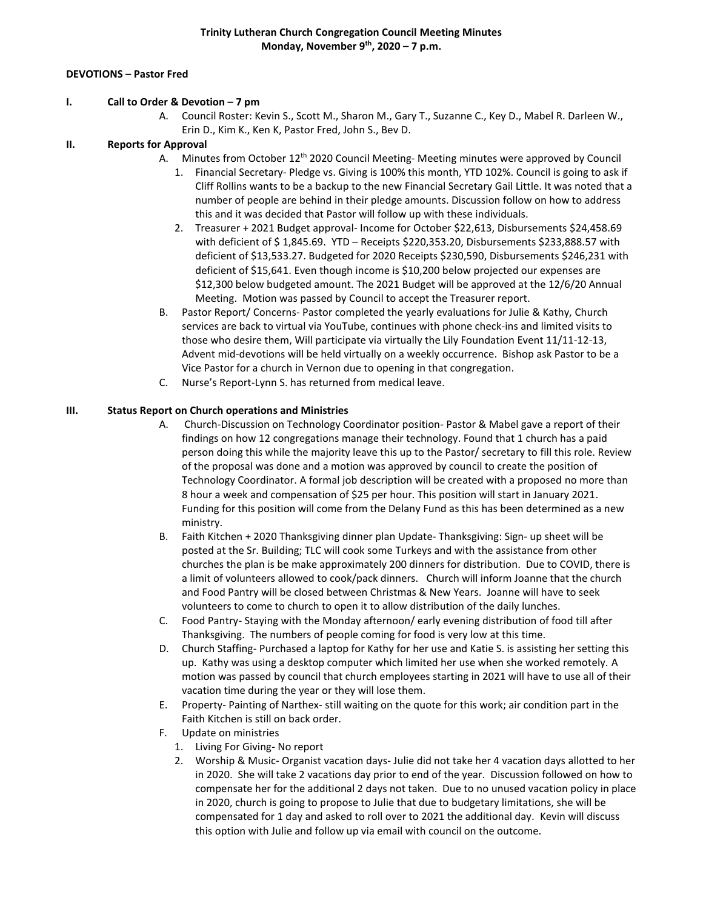### **DEVOTIONS – Pastor Fred**

#### **I. Call to Order & Devotion – 7 pm**

A. Council Roster: Kevin S., Scott M., Sharon M., Gary T., Suzanne C., Key D., Mabel R. Darleen W., Erin D., Kim K., Ken K, Pastor Fred, John S., Bev D.

#### **II. Reports for Approval**

- A. Minutes from October 12<sup>th</sup> 2020 Council Meeting-Meeting minutes were approved by Council
	- 1. Financial Secretary- Pledge vs. Giving is 100% this month, YTD 102%. Council is going to ask if Cliff Rollins wants to be a backup to the new Financial Secretary Gail Little. It was noted that a number of people are behind in their pledge amounts. Discussion follow on how to address this and it was decided that Pastor will follow up with these individuals.
	- 2. Treasurer + 2021 Budget approval- Income for October \$22,613, Disbursements \$24,458.69 with deficient of \$ 1,845.69. YTD – Receipts \$220,353.20, Disbursements \$233,888.57 with deficient of \$13,533.27. Budgeted for 2020 Receipts \$230,590, Disbursements \$246,231 with deficient of \$15,641. Even though income is \$10,200 below projected our expenses are \$12,300 below budgeted amount. The 2021 Budget will be approved at the 12/6/20 Annual Meeting. Motion was passed by Council to accept the Treasurer report.
- B. Pastor Report/ Concerns- Pastor completed the yearly evaluations for Julie & Kathy, Church services are back to virtual via YouTube, continues with phone check-ins and limited visits to those who desire them, Will participate via virtually the Lily Foundation Event 11/11-12-13, Advent mid-devotions will be held virtually on a weekly occurrence. Bishop ask Pastor to be a Vice Pastor for a church in Vernon due to opening in that congregation.
- C. Nurse's Report-Lynn S. has returned from medical leave.

### **III. Status Report on Church operations and Ministries**

- A. Church-Discussion on Technology Coordinator position- Pastor & Mabel gave a report of their findings on how 12 congregations manage their technology. Found that 1 church has a paid person doing this while the majority leave this up to the Pastor/ secretary to fill this role. Review of the proposal was done and a motion was approved by council to create the position of Technology Coordinator. A formal job description will be created with a proposed no more than 8 hour a week and compensation of \$25 per hour. This position will start in January 2021. Funding for this position will come from the Delany Fund as this has been determined as a new ministry.
- B. Faith Kitchen + 2020 Thanksgiving dinner plan Update- Thanksgiving: Sign- up sheet will be posted at the Sr. Building; TLC will cook some Turkeys and with the assistance from other churches the plan is be make approximately 200 dinners for distribution. Due to COVID, there is a limit of volunteers allowed to cook/pack dinners. Church will inform Joanne that the church and Food Pantry will be closed between Christmas & New Years. Joanne will have to seek volunteers to come to church to open it to allow distribution of the daily lunches.
- C. Food Pantry- Staying with the Monday afternoon/ early evening distribution of food till after Thanksgiving. The numbers of people coming for food is very low at this time.
- D. Church Staffing- Purchased a laptop for Kathy for her use and Katie S. is assisting her setting this up. Kathy was using a desktop computer which limited her use when she worked remotely. A motion was passed by council that church employees starting in 2021 will have to use all of their vacation time during the year or they will lose them.
- E. Property- Painting of Narthex- still waiting on the quote for this work; air condition part in the Faith Kitchen is still on back order.
- F. Update on ministries
	- 1. Living For Giving- No report
	- 2. Worship & Music- Organist vacation days- Julie did not take her 4 vacation days allotted to her in 2020. She will take 2 vacations day prior to end of the year. Discussion followed on how to compensate her for the additional 2 days not taken. Due to no unused vacation policy in place in 2020, church is going to propose to Julie that due to budgetary limitations, she will be compensated for 1 day and asked to roll over to 2021 the additional day. Kevin will discuss this option with Julie and follow up via email with council on the outcome.